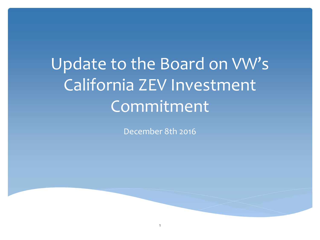Update to the Board on VW's California ZEV Investment Commitment

December 8th 2016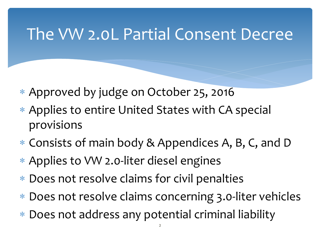### The VW 2.0L Partial Consent Decree

- ∗ Approved by judge on October 25, 2016
- ∗ Applies to entire United States with CA special provisions
- ∗ Consists of main body & Appendices A, B, C, and D
- ∗ Applies to VW 2.0-liter diesel engines
- ∗ Does not resolve claims for civil penalties
- ∗ Does not resolve claims concerning 3.0-liter vehicles
- ∗ Does not address any potential criminal liability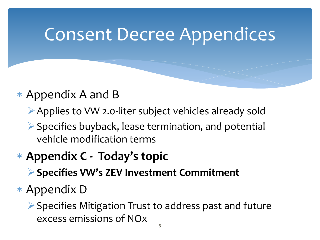## Consent Decree Appendices

#### ∗ Appendix A and B

- Applies to VW 2.0-liter subject vehicles already sold
- $\triangleright$  Specifies buyback, lease termination, and potential vehicle modification terms

#### ∗ **Appendix C - Today's topic**

- **Specifies VW's ZEV Investment Commitment**
- ∗ Appendix D
	- $\triangleright$  Specifies Mitigation Trust to address past and future excess emissions of NOx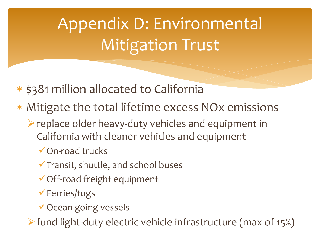# Appendix D: Environmental Mitigation Trust

- ∗ \$381 million allocated to California
- ∗ Mitigate the total lifetime excess NOx emissions
	- $\triangleright$  replace older heavy-duty vehicles and equipment in California with cleaner vehicles and equipment
		- On-road trucks
		- $\checkmark$  Transit, shuttle, and school buses
		- Off-road freight equipment
		- Ferries/tugs
		- **√Ocean going vessels**

 $\triangleright$  fund light-duty electric vehicle infrastructure (max of 15%)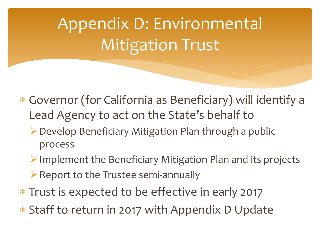# Appendix D: Environmental Mitigation Trust

- ∗ Governor (for California as Beneficiary) will identify a Lead Agency to act on the State's behalf to
	- ▶ Develop Beneficiary Mitigation Plan through a public process
	- $\triangleright$  Implement the Beneficiary Mitigation Plan and its projects
	- $\triangleright$  Report to the Trustee semi-annually
- ∗ Trust is expected to be effective in early 2017
- ∗ Staff to return in 2017 with Appendix D Update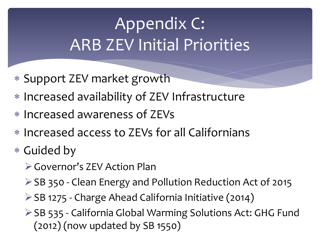## Appendix C: ARB ZEV Initial Priorities

- ∗ Support ZEV market growth
- ∗ Increased availability of ZEV Infrastructure
- ∗ Increased awareness of ZEVs
- ∗ Increased access to ZEVs for all Californians
- ∗ Guided by
	- **► Governor's ZEV Action Plan**
	- ▶ SB 350 Clean Energy and Pollution Reduction Act of 2015
	- SB 1275 Charge Ahead California Initiative (2014)
	- ▶ SB 535 California Global Warming Solutions Act: GHG Fund  $(2012)$  (now updated by SB  $1550)$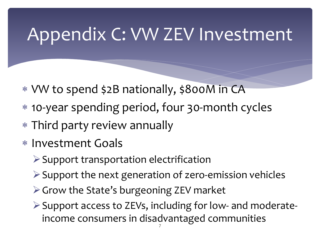## Appendix C: VW ZEV Investment

- ∗ VW to spend \$2B nationally, \$800M in CA
- ∗ 10-year spending period, four 30-month cycles
- ∗ Third party review annually
- ∗ Investment Goals
	- $\triangleright$  Support transportation electrification
	- Support the next generation of zero-emission vehicles
	- $\triangleright$  Grow the State's burgeoning ZEV market
	- $\triangleright$  Support access to ZEVs, including for low- and moderateincome consumers in disadvantaged communities <sup>7</sup>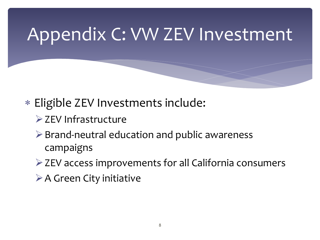## Appendix C: VW ZEV Investment

- ∗ Eligible ZEV Investments include:
	- $\triangleright$  ZEV Infrastructure
	- $\triangleright$  Brand-neutral education and public awareness campaigns
	- ZEV access improvements for all California consumers
	- $\triangleright$  A Green City initiative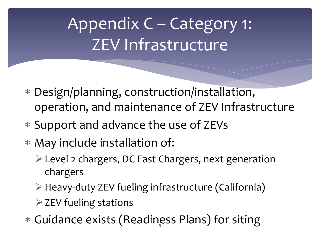## Appendix C – Category 1: ZEV Infrastructure

- ∗ Design/planning, construction/installation, operation, and maintenance of ZEV Infrastructure
- ∗ Support and advance the use of ZEVs
- ∗ May include installation of:
	- Level 2 chargers, DC Fast Chargers, next generation chargers
	- Heavy-duty ZEV fueling infrastructure (California)
	- $\triangleright$  ZEV fueling stations
- ∗ Guidance exists (Readiness Plans) for siting 9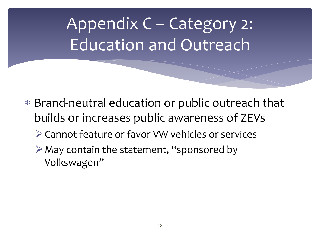## Appendix C – Category 2: Education and Outreach

- ∗ Brand-neutral education or public outreach that builds or increases public awareness of ZEVs
	- Cannot feature or favor VW vehicles or services
	- $\triangleright$  May contain the statement, "sponsored by Volkswagen"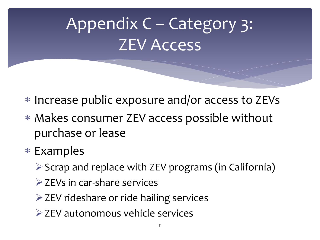# Appendix C – Category 3: ZEV Access

- ∗ Increase public exposure and/or access to ZEVs
- ∗ Makes consumer ZEV access possible without purchase or lease
- ∗ Examples
	- $\triangleright$  Scrap and replace with ZEV programs (in California)
	- $\triangleright$  ZEVs in car-share services
	- $\triangleright$  ZEV rideshare or ride hailing services
	- **≻ ZEV autonomous vehicle services**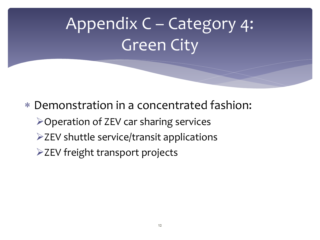# Appendix C – Category 4: Green City

∗ Demonstration in a concentrated fashion: **≻Operation of ZEV car sharing services**  $\triangleright$  ZEV shuttle service/transit applications  $\triangleright$  ZEV freight transport projects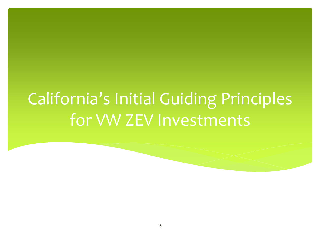### California's Initial Guiding Principles for VW ZEV Investments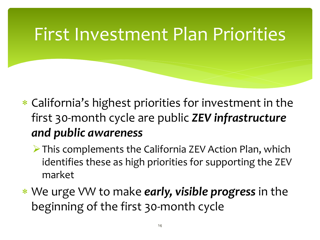### First Investment Plan Priorities

- ∗ California's highest priorities for investment in the first 30-month cycle are public *ZEV infrastructure and public awareness*
	- This complements the California ZEV Action Plan, which identifies these as high priorities for supporting the ZEV market
- ∗ We urge VW to make *early, visible progress* in the beginning of the first 30-month cycle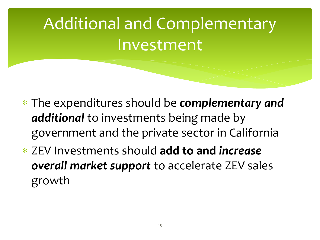# Additional and Complementary Investment

- ∗ The expenditures should be *complementary and additional* to investments being made by government and the private sector in California
- ∗ ZEV Investments should **add to and** *increase overall market support* to accelerate ZEV sales growth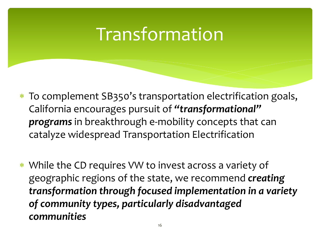### Transformation

- ∗ To complement SB350's transportation electrification goals, California encourages pursuit of *"transformational" programs* in breakthrough e-mobility concepts that can catalyze widespread Transportation Electrification
- ∗ While the CD requires VW to invest across a variety of geographic regions of the state, we recommend *creating transformation through focused implementation in a variety of community types, particularly disadvantaged communities*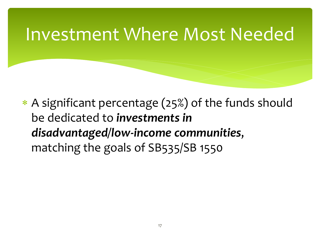### Investment Where Most Needed

∗ A significant percentage (25%) of the funds should be dedicated to *investments in disadvantaged/low-income communities*, matching the goals of SB535/SB 1550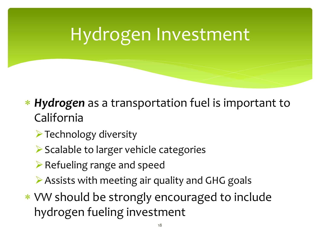# Hydrogen Investment

- ∗ *Hydrogen* as a transportation fuel is important to California
	- $\triangleright$  Technology diversity
	- $\triangleright$  Scalable to larger vehicle categories
	- $\triangleright$  Refueling range and speed
	- Assists with meeting air quality and GHG goals
- ∗ VW should be strongly encouraged to include hydrogen fueling investment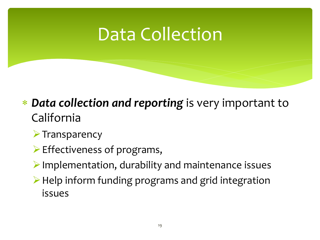### Data Collection

#### ∗ *Data collection and reporting* is very important to California

- $\triangleright$  Transparency
- $\triangleright$  Effectiveness of programs,
- $\triangleright$  Implementation, durability and maintenance issues
- $\triangleright$  Help inform funding programs and grid integration issues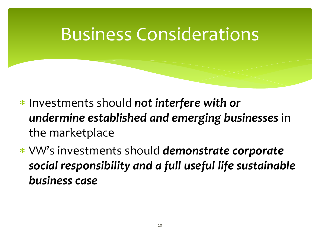### Business Considerations

- ∗ Investments should *not interfere with or undermine established and emerging businesses* in the marketplace
- ∗ VW's investments should *demonstrate corporate social responsibility and a full useful life sustainable business case*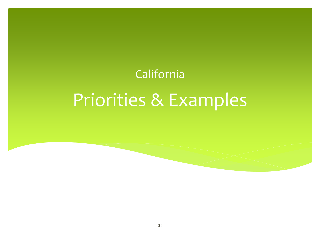#### California

# Priorities & Examples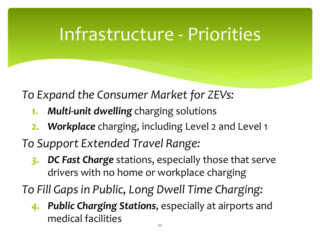### Infrastructure - Priorities

*To Expand the Consumer Market for ZEVs:*

- *1. Multi-unit dwelling* charging solutions
- *2. Workplace* charging, including Level 2 and Level 1

*To Support Extended Travel Range:*

*3. DC Fast Charge* stations, especially those that serve drivers with no home or workplace charging

*To Fill Gaps in Public, Long Dwell Time Charging:*

*4. Public Charging Stations*, especially at airports and medical facilities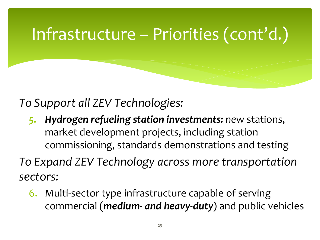### Infrastructure – Priorities (cont'd.)

*To Support all ZEV Technologies:*

*5. Hydrogen refueling station investments: ne*w stations, market development projects, including station commissioning, standards demonstrations and testing

*To Expand ZEV Technology across more transportation sectors:*

6. Multi-sector type infrastructure capable of serving commercial (*medium- and heavy-duty*) and public vehicles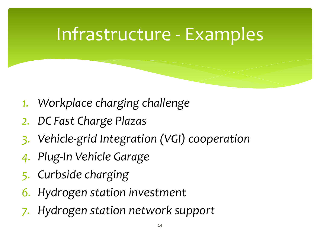### Infrastructure - Examples

- *1. Workplace charging challenge*
- *2. DC Fast Charge Plazas*
- *3. Vehicle-grid Integration (VGI) cooperation*
- *4. Plug-In Vehicle Garage*
- *5. Curbside charging*
- *6. Hydrogen station investment*
- *7. Hydrogen station network support*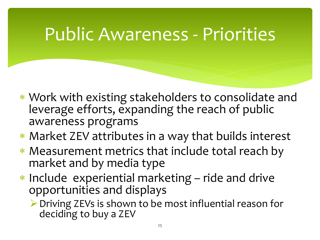### Public Awareness - Priorities

- ∗ Work with existing stakeholders to consolidate and leverage efforts, expanding the reach of public awareness programs
- ∗ Market ZEV attributes in a way that builds interest
- ∗ Measurement metrics that include total reach by market and by media type
- ∗ Include experiential marketing ride and drive opportunities and displays

▶ Driving ZEVs is shown to be most influential reason for deciding to buy a ZEV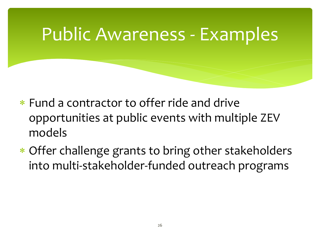### Public Awareness - Examples

- ∗ Fund a contractor to offer ride and drive opportunities at public events with multiple ZEV models
- ∗ Offer challenge grants to bring other stakeholders into multi-stakeholder-funded outreach programs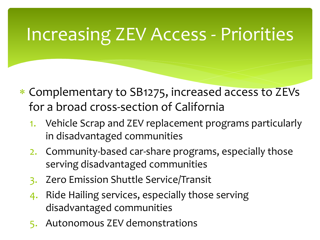### Increasing ZEV Access - Priorities

- ∗ Complementary to SB1275, increased access to ZEVs for a broad cross-section of California
	- 1. Vehicle Scrap and ZEV replacement programs particularly in disadvantaged communities
	- 2. Community-based car-share programs, especially those serving disadvantaged communities
	- 3. Zero Emission Shuttle Service/Transit
	- 4. Ride Hailing services, especially those serving disadvantaged communities
	- 5. Autonomous ZEV demonstrations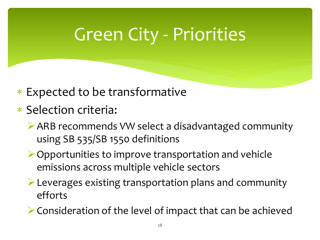## Green City - Priorities

- ∗ Expected to be transformative
- ∗ Selection criteria:
	- ARB recommends VW select a disadvantaged community using SB 535/SB 1550 definitions
	- $\triangleright$  Opportunities to improve transportation and vehicle emissions across multiple vehicle sectors
	- Leverages existing transportation plans and community efforts
	- $\triangleright$  Consideration of the level of impact that can be achieved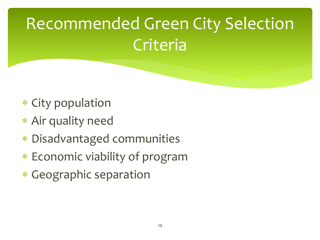# Recommended Green City Selection **Criteria**

- ∗ City population
- ∗ Air quality need
- ∗ Disadvantaged communities
- ∗ Economic viability of program
- ∗ Geographic separation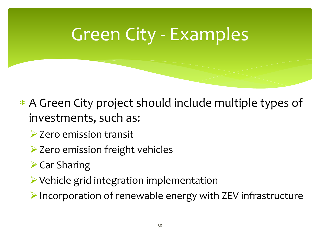## Green City - Examples

- ∗ A Green City project should include multiple types of investments, such as:
	- **▶ Zero emission transit**
	- **► Zero emission freight vehicles**
	- $\triangleright$  Car Sharing
	- Vehicle grid integration implementation

 $\triangleright$  Incorporation of renewable energy with ZEV infrastructure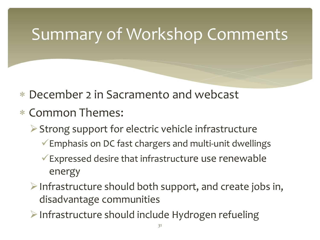### Summary of Workshop Comments

- ∗ December 2 in Sacramento and webcast
- ∗ Common Themes:
	- $\triangleright$  Strong support for electric vehicle infrastructure
		- Emphasis on DC fast chargers and multi-unit dwellings
		- $\checkmark$  Expressed desire that infrastructure use renewable energy
	- $\triangleright$  Infrastructure should both support, and create jobs in, disadvantage communities
	- $\triangleright$  Infrastructure should include Hydrogen refueling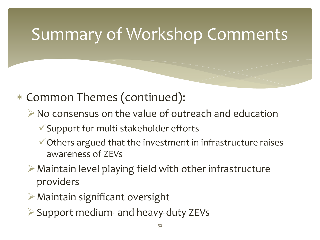### Summary of Workshop Comments

- ∗ Common Themes (continued):
	- $\triangleright$  No consensus on the value of outreach and education
		- Support for multi-stakeholder efforts
		- $\checkmark$  Others argued that the investment in infrastructure raises awareness of ZEVs
	- $\triangleright$  Maintain level playing field with other infrastructure providers
	- $\triangleright$  Maintain significant oversight
	- $\triangleright$  Support medium- and heavy-duty ZEVs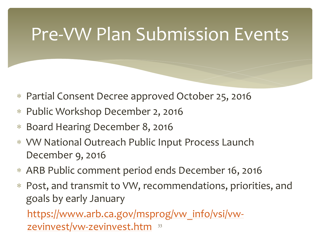### Pre-VW Plan Submission Events

- ∗ Partial Consent Decree approved October 25, 2016
- ∗ Public Workshop December 2, 2016
- ∗ Board Hearing December 8, 2016
- ∗ VW National Outreach Public Input Process Launch December 9, 2016
- ∗ ARB Public comment period ends December 16, 2016
- ∗ Post, and transmit to VW, recommendations, priorities, and goals by early January

[https://www.arb.ca.gov/msprog/vw\\_info/vsi/vw](https://www.arb.ca.gov/msprog/vw_info/vsi/vw-zevinvest/vw-zevinvest.htm)[zevinvest/vw-zevinvest.htm](https://www.arb.ca.gov/msprog/vw_info/vsi/vw-zevinvest/vw-zevinvest.htm)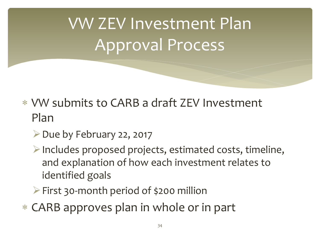# VW ZEV Investment Plan Approval Process

- ∗ VW submits to CARB a draft ZEV Investment Plan
	- $\triangleright$  Due by February 22, 2017
	- Includes proposed projects, estimated costs, timeline, and explanation of how each investment relates to identified goals
	- $\triangleright$  First 30-month period of \$200 million
- ∗ CARB approves plan in whole or in part